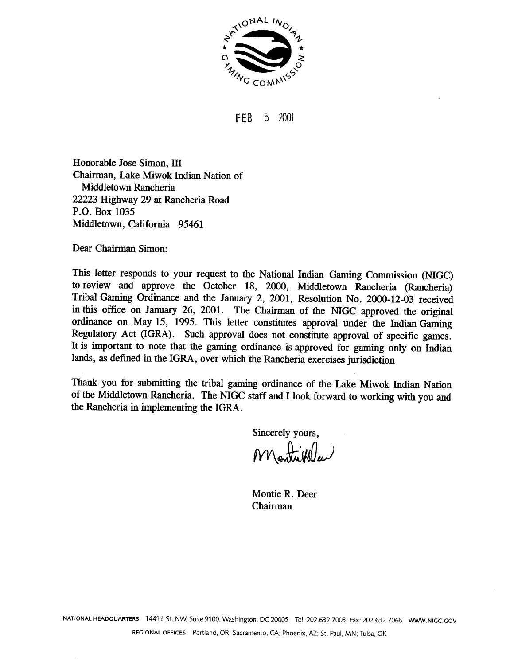

5 2001 FEB

Honorable Jose Simon, III Chairman, Lake Miwok Indian Nation of Middletown Rancheria 22223 Highway 29 at Rancheria Road P.O. Box 1035 Middletown, California 95461

Dear Chairman Simon:

This letter responds to your request to the National Indian Gaming Commission (NIGC) to review and approve the October 18, 2000, Middletown Rancheria (Rancheria) Tribal Gaming Ordinance and the January 2, 2001, Resolution No. 2000-12-03 received in this office on January 26, 2001. The Chairman of the NIGC approved the original ordinance on May 15, 1995. This letter constitutes approval under the Indian Gaming Regulatory Act (IGRA). Such approval does not constitute approval of specific games. It is important to note that the gaming ordinance is approved for gaming only on Indian lands, as defined in the IGRA, over which the Rancheria exercises jurisdiction

Thank you for submitting the tribal gaming ordinance of the Lake Miwok Indian Nation of the Middletown Rancheria. The NIGC staff and I look forward to working with you and the Rancheria in implementing the IGRA.

Sincerely yours,

Montie R. Deer Chairman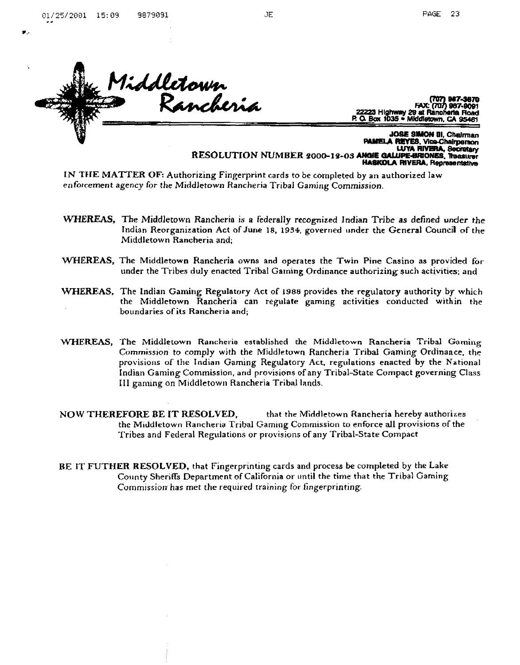

**FAX** ) 967-9091 ന്ത 22223 Highway 29 at Rancherta Road<br>P. O. Box 1035 . Middletown, CA 95481

JOSE SIMON III, Chairman A REYES, Vice-Chairperson LUYA RIVERA, Secretary RESOLUTION NUMBER 2000-12-03 ANGIE GALUPE-BRIONES, Treasurer **HASKOLA RIVERA, Representative** 

IN THE MATTER OF: Authorizing Fingerprint cards to be completed by an authorized law enforcement agency for the Middletown Rancheria Tribal Gaming Commission.

- WHEREAS, The Middletown Rancheria is a federally recognized Indian Tribe as defined under the Indian Reorganization Act of June 18, 1934, governed under the General Council of the Middletown Rancheria and;
- WHEREAS, The Middletown Rancheria owns and operates the Twin Pine Casino as provided for under the Tribes duly enacted Tribal Gaming Ordinance authorizing such activities; and
- WHEREAS, The Indian Gaming Regulatory Act of 1988 provides the regulatory authority by which the Middletown Rancheria can regulate gaming activities conducted within the boundaries of its Rancheria and;
- WHEREAS, The Middletown Rancheria established the Middletown Rancheria Tribal Gaming Commission to comply with the Middletown Rancheria Tribal Gaming Ordinance, the provisions of the Indian Gaming Regulatory Act, regulations enacted by the National Indian Gaming Commission, and provisions of any Tribal-State Compact governing Class III gaming on Middletown Rancheria Tribal lands.
- NOW THEREFORE BE IT RESOLVED. that the Middletown Rancheria hereby authorizes the Middletown Rancheria Tribal Gaming Commission to enforce all provisions of the Tribes and Federal Regulations or provisions of any Tribal-State Compact
- BE IT FUTHER RESOLVED, that Fingerprinting cards and process be completed by the Lake County Sheriffs Department of California or until the time that the Tribal Gaming Commission has met the required training for fingerprinting.